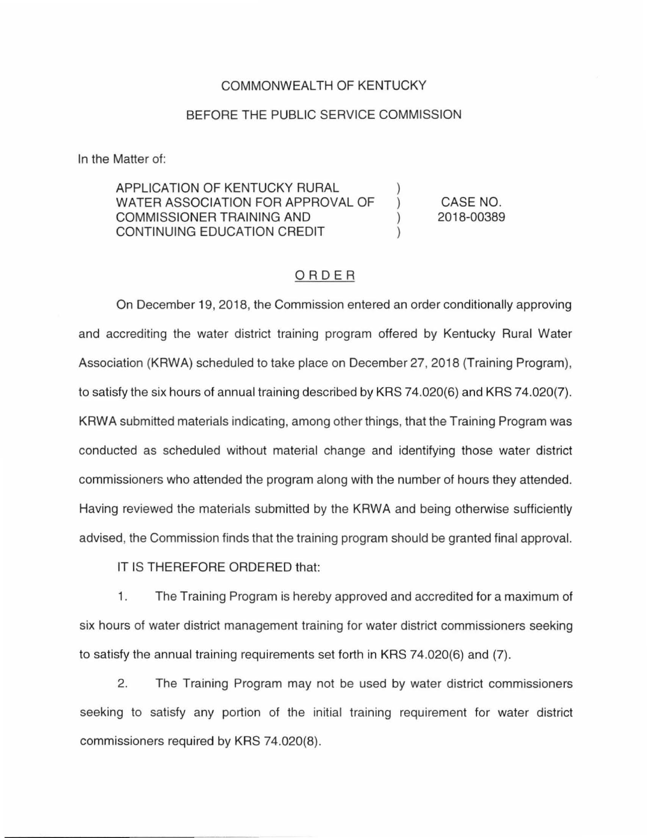## COMMONWEALTH OF KENTUCKY

### BEFORE THE PUBLIC SERVICE COMMISSION

In the Matter of:

#### APPLICATION OF KENTUCKY RURAL WATER ASSOCIATION FOR APPROVAL OF COMMISSIONER TRAINING AND ) CONTINUING EDUCATION CREDIT ) CASE NO. 2018-00389

## ORDER

On December 19, 2018, the Commission entered an order conditionally approving and accrediting the water district training program offered by Kentucky Rural Water Association (KAWA) scheduled to take place on December 27, 2018 (Training Program), to satisfy the six hours of annual training described by KRS 74.020(6) and KRS 74.020(7). KAWA submitted materials indicating, among other things, that the Training Program was conducted as scheduled without material change and identifying those water district commissioners who attended the program along with the number of hours they attended. Having reviewed the materials submitted by the KAWA and being otherwise sufficiently advised, the Commission finds that the training program should be granted final approval.

IT IS THEREFORE ORDERED that:

1. The Training Program is hereby approved and accredited for a maximum of six hours of water district management training for water district commissioners seeking to satisfy the annual training requirements set forth in KRS 74.020(6) and (7).

2. The Training Program may not be used by water district commissioners seeking to satisfy any portion of the initial training requirement for water district commissioners required by KRS 74.020(8).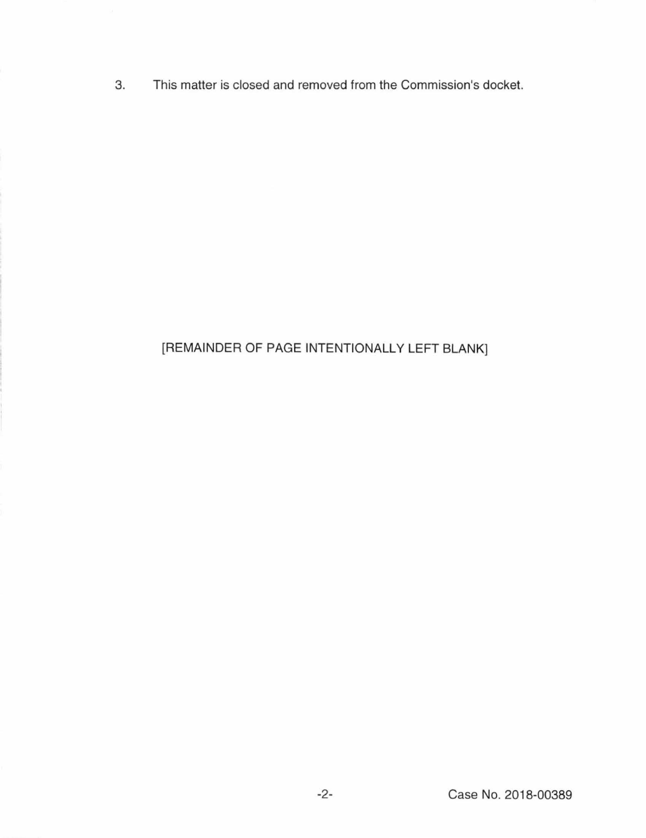3. This matter is closed and removed from the Commission's docket.

# [REMAINDER OF PAGE INTENTIONALLY LEFT BLANK]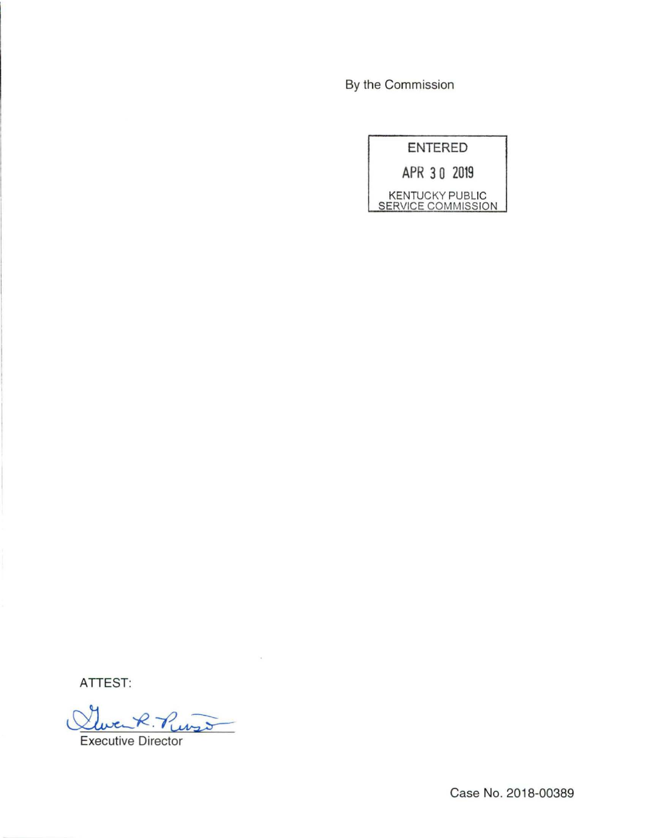By the Commission

| ENTERED                                      |
|----------------------------------------------|
| APR 30 2019                                  |
| KENTUCKY PUBLIC<br><b>SERVICE COMMISSION</b> |

ATTEST:

Clevent. Purso Executive Director

 $\bar{\alpha}$